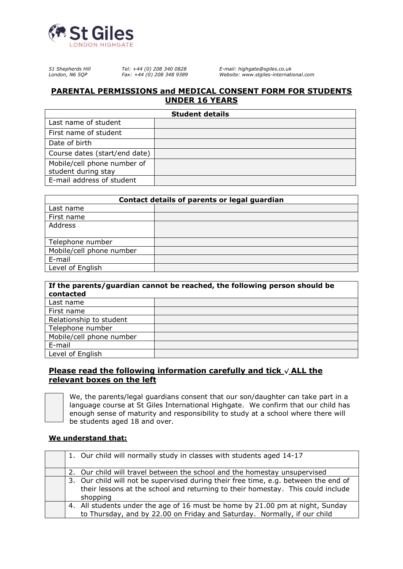

*51 Shepherds Hill Tel: +44 (0) 208 340 0828 E-mail: highgate@sgiles.co.uk*

*London, N6 5QP Fax: +44 (0) 208 348 9389 Website: www.stgiles-international.com*

## **PARENTAL PERMISSIONS and MEDICAL CONSENT FORM FOR STUDENTS UNDER 16 YEARS**

| <b>Student details</b>                             |  |  |  |
|----------------------------------------------------|--|--|--|
| Last name of student                               |  |  |  |
| First name of student                              |  |  |  |
| Date of birth                                      |  |  |  |
| Course dates (start/end date)                      |  |  |  |
| Mobile/cell phone number of<br>student during stay |  |  |  |
| E-mail address of student                          |  |  |  |

| Contact details of parents or legal guardian |  |  |
|----------------------------------------------|--|--|
| Last name                                    |  |  |
| First name                                   |  |  |
| Address                                      |  |  |
|                                              |  |  |
| Telephone number                             |  |  |
| Mobile/cell phone number                     |  |  |
| E-mail                                       |  |  |
| Level of English                             |  |  |

| If the parents/guardian cannot be reached, the following person should be<br>contacted |  |  |
|----------------------------------------------------------------------------------------|--|--|
| Last name                                                                              |  |  |
| First name                                                                             |  |  |
| Relationship to student                                                                |  |  |
| Telephone number                                                                       |  |  |
| Mobile/cell phone number                                                               |  |  |
| E-mail                                                                                 |  |  |
| Level of English                                                                       |  |  |

# **Please read the following information carefully and tick √ ALL the relevant boxes on the left**



We, the parents/legal guardians consent that our son/daughter can take part in a language course at St Giles International Highgate. We confirm that our child has enough sense of maturity and responsibility to study at a school where there will be students aged 18 and over.

### **We understand that:**

| 1. Our child will normally study in classes with students aged 14-17                                                                                                               |
|------------------------------------------------------------------------------------------------------------------------------------------------------------------------------------|
| 2. Our child will travel between the school and the homestay unsupervised                                                                                                          |
| 3. Our child will not be supervised during their free time, e.g. between the end of<br>their lessons at the school and returning to their homestay. This could include<br>shopping |
| 4. All students under the age of 16 must be home by 21.00 pm at night, Sunday<br>to Thursday, and by 22.00 on Friday and Saturday. Normally, if our child                          |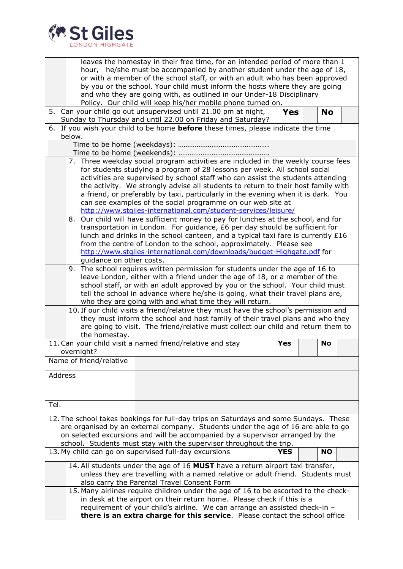

| leaves the homestay in their free time, for an intended period of more than 1<br>hour, he/she must be accompanied by another student under the age of 18,<br>or with a member of the school staff, or with an adult who has been approved<br>by you or the school. Your child must inform the hosts where they are going<br>and who they are going with, as outlined in our Under-18 Disciplinary<br>Policy. Our child will keep his/her mobile phone turned on.                                                                                             |  |  |  |  |  |
|--------------------------------------------------------------------------------------------------------------------------------------------------------------------------------------------------------------------------------------------------------------------------------------------------------------------------------------------------------------------------------------------------------------------------------------------------------------------------------------------------------------------------------------------------------------|--|--|--|--|--|
| 5. Can your child go out unsupervised until 21.00 pm at night,<br><b>Yes</b><br><b>No</b>                                                                                                                                                                                                                                                                                                                                                                                                                                                                    |  |  |  |  |  |
| Sunday to Thursday and until 22.00 on Friday and Saturday?                                                                                                                                                                                                                                                                                                                                                                                                                                                                                                   |  |  |  |  |  |
| 6. If you wish your child to be home <b>before</b> these times, please indicate the time<br>below.                                                                                                                                                                                                                                                                                                                                                                                                                                                           |  |  |  |  |  |
|                                                                                                                                                                                                                                                                                                                                                                                                                                                                                                                                                              |  |  |  |  |  |
|                                                                                                                                                                                                                                                                                                                                                                                                                                                                                                                                                              |  |  |  |  |  |
| 7. Three weekday social program activities are included in the weekly course fees<br>for students studying a program of 28 lessons per week. All school social<br>activities are supervised by school staff who can assist the students attending<br>the activity. We strongly advise all students to return to their host family with<br>a friend, or preferably by taxi, particularly in the evening when it is dark. You<br>can see examples of the social programme on our web site at<br>http://www.stgiles-international.com/student-services/leisure/ |  |  |  |  |  |
| 8. Our child will have sufficient money to pay for lunches at the school, and for<br>transportation in London. For guidance, £6 per day should be sufficient for<br>lunch and drinks in the school canteen, and a typical taxi fare is currently £16<br>from the centre of London to the school, approximately. Please see<br>http://www.stgiles-international.com/downloads/budget-Highgate.pdf for<br>guidance on other costs.                                                                                                                             |  |  |  |  |  |
| 9. The school requires written permission for students under the age of 16 to<br>leave London, either with a friend under the age of 18, or a member of the<br>school staff, or with an adult approved by you or the school. Your child must<br>tell the school in advance where he/she is going, what their travel plans are,<br>who they are going with and what time they will return.                                                                                                                                                                    |  |  |  |  |  |
| 10. If our child visits a friend/relative they must have the school's permission and<br>they must inform the school and host family of their travel plans and who they<br>are going to visit. The friend/relative must collect our child and return them to<br>the homestay.                                                                                                                                                                                                                                                                                 |  |  |  |  |  |
| 11. Can your child visit a named friend/relative and stay<br><b>Yes</b><br>No                                                                                                                                                                                                                                                                                                                                                                                                                                                                                |  |  |  |  |  |
| overnight?                                                                                                                                                                                                                                                                                                                                                                                                                                                                                                                                                   |  |  |  |  |  |
| Name of friend/relative                                                                                                                                                                                                                                                                                                                                                                                                                                                                                                                                      |  |  |  |  |  |
| Address                                                                                                                                                                                                                                                                                                                                                                                                                                                                                                                                                      |  |  |  |  |  |
| Tel.                                                                                                                                                                                                                                                                                                                                                                                                                                                                                                                                                         |  |  |  |  |  |
| 12. The school takes bookings for full-day trips on Saturdays and some Sundays. These<br>are organised by an external company. Students under the age of 16 are able to go<br>on selected excursions and will be accompanied by a supervisor arranged by the<br>school. Students must stay with the supervisor throughout the trip.                                                                                                                                                                                                                          |  |  |  |  |  |
| 13. My child can go on supervised full-day excursions<br><b>YES</b><br><b>NO</b>                                                                                                                                                                                                                                                                                                                                                                                                                                                                             |  |  |  |  |  |
| 14. All students under the age of 16 MUST have a return airport taxi transfer,<br>unless they are travelling with a named relative or adult friend. Students must<br>also carry the Parental Travel Consent Form<br>15. Many airlines require children under the age of 16 to be escorted to the check-<br>in desk at the airport on their return home. Please check if this is a<br>requirement of your child's airline. We can arrange an assisted check-in -                                                                                              |  |  |  |  |  |
| there is an extra charge for this service. Please contact the school office                                                                                                                                                                                                                                                                                                                                                                                                                                                                                  |  |  |  |  |  |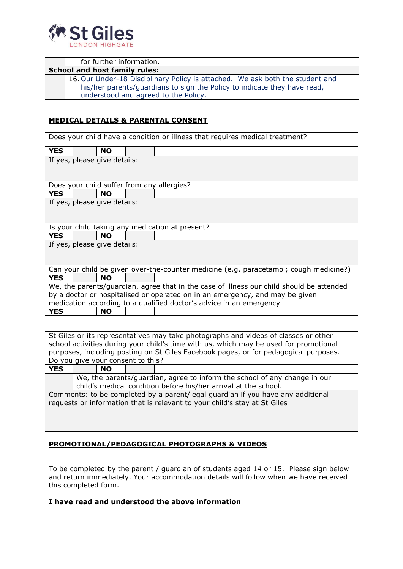

| for further information.                                                                                                                                                                          |
|---------------------------------------------------------------------------------------------------------------------------------------------------------------------------------------------------|
| <b>School and host family rules:</b>                                                                                                                                                              |
| 16. Our Under-18 Disciplinary Policy is attached. We ask both the student and<br>his/her parents/guardians to sign the Policy to indicate they have read,<br>understood and agreed to the Policy. |

## **MEDICAL DETAILS & PARENTAL CONSENT**

| Does your child have a condition or illness that requires medical treatment?             |  |           |  |                                                                     |
|------------------------------------------------------------------------------------------|--|-----------|--|---------------------------------------------------------------------|
| <b>YES</b>                                                                               |  | <b>NO</b> |  |                                                                     |
| If yes, please give details:                                                             |  |           |  |                                                                     |
|                                                                                          |  |           |  | Does your child suffer from any allergies?                          |
| <b>YES</b>                                                                               |  | <b>NO</b> |  |                                                                     |
| If yes, please give details:                                                             |  |           |  |                                                                     |
|                                                                                          |  |           |  | Is your child taking any medication at present?                     |
| <b>YES</b>                                                                               |  | <b>NO</b> |  |                                                                     |
| If yes, please give details:                                                             |  |           |  |                                                                     |
| Can your child be given over-the-counter medicine (e.g. paracetamol; cough medicine?)    |  |           |  |                                                                     |
| <b>YES</b>                                                                               |  | <b>NO</b> |  |                                                                     |
| We, the parents/guardian, agree that in the case of illness our child should be attended |  |           |  |                                                                     |
| by a doctor or hospitalised or operated on in an emergency, and may be given             |  |           |  |                                                                     |
|                                                                                          |  |           |  | medication according to a qualified doctor's advice in an emergency |
| <b>YES</b>                                                                               |  | <b>NO</b> |  |                                                                     |

St Giles or its representatives may take photographs and videos of classes or other school activities during your child's time with us, which may be used for promotional purposes, including posting on St Giles Facebook pages, or for pedagogical purposes. Do you give your consent to this?

| YES                                                                             |                                                                           | <b>NO</b> |  |  |  |
|---------------------------------------------------------------------------------|---------------------------------------------------------------------------|-----------|--|--|--|
|                                                                                 | We, the parents/guardian, agree to inform the school of any change in our |           |  |  |  |
|                                                                                 | child's medical condition before his/her arrival at the school.           |           |  |  |  |
| Comments: to be completed by a parent/legal guardian if you have any additional |                                                                           |           |  |  |  |
| requests or information that is relevant to your child's stay at St Giles       |                                                                           |           |  |  |  |
|                                                                                 |                                                                           |           |  |  |  |

### **PROMOTIONAL/PEDAGOGICAL PHOTOGRAPHS & VIDEOS**

To be completed by the parent / guardian of students aged 14 or 15. Please sign below and return immediately. Your accommodation details will follow when we have received this completed form.

### **I have read and understood the above information**